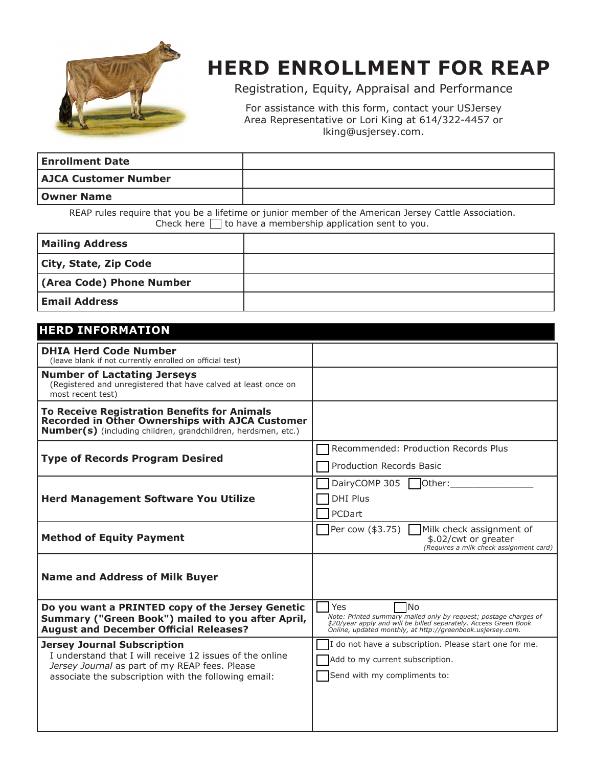

## **HERD ENROLLMENT FOR REAP**

Registration, Equity, Appraisal and Performance

For assistance with this form, contact your USJersey Area Representative or Lori King at 614/322-4457 or lking@usjersey.com.

| <b>Enrollment Date</b>      |  |
|-----------------------------|--|
| <b>AJCA Customer Number</b> |  |
| <b>Owner Name</b>           |  |

REAP rules require that you be a lifetime or junior member of the American Jersey Cattle Association. Check here  $\Box$  to have a membership application sent to you.

| <b>Mailing Address</b>   |  |
|--------------------------|--|
| City, State, Zip Code    |  |
| (Area Code) Phone Number |  |
| <b>Email Address</b>     |  |

#### **HERD INFORMATION**

| <b>DHIA Herd Code Number</b><br>(leave blank if not currently enrolled on official test)                                                                                                                 |                                                                                                                                                                                                                        |
|----------------------------------------------------------------------------------------------------------------------------------------------------------------------------------------------------------|------------------------------------------------------------------------------------------------------------------------------------------------------------------------------------------------------------------------|
| <b>Number of Lactating Jerseys</b><br>(Registered and unregistered that have calved at least once on<br>most recent test)                                                                                |                                                                                                                                                                                                                        |
| <b>To Receive Registration Benefits for Animals</b><br><b>Recorded in Other Ownerships with AJCA Customer</b><br><b>Number(s)</b> (including children, grandchildren, herdsmen, etc.)                    |                                                                                                                                                                                                                        |
| <b>Type of Records Program Desired</b>                                                                                                                                                                   | Recommended: Production Records Plus<br><b>Production Records Basic</b>                                                                                                                                                |
| <b>Herd Management Software You Utilize</b>                                                                                                                                                              | DairyCOMP 305 $\Box$ Other:<br><b>DHI Plus</b><br>PCDart                                                                                                                                                               |
| <b>Method of Equity Payment</b>                                                                                                                                                                          | Per cow (\$3.75)<br>Milk check assignment of<br>\$.02/cwt or greater<br>(Requires a milk check assignment card)                                                                                                        |
| <b>Name and Address of Milk Buyer</b>                                                                                                                                                                    |                                                                                                                                                                                                                        |
| Do you want a PRINTED copy of the Jersey Genetic<br>Summary ("Green Book") mailed to you after April,<br><b>August and December Official Releases?</b>                                                   | Yes<br><b>No</b><br>Note: Printed summary mailed only by request; postage charges of<br>\$20/year apply and will be billed separately. Access Green Book<br>Online, updated monthly, at http://greenbook.usjersey.com. |
| <b>Jersey Journal Subscription</b><br>I understand that I will receive 12 issues of the online<br>Jersey Journal as part of my REAP fees. Please<br>associate the subscription with the following email: | I do not have a subscription. Please start one for me.<br>Add to my current subscription.<br>Send with my compliments to:                                                                                              |